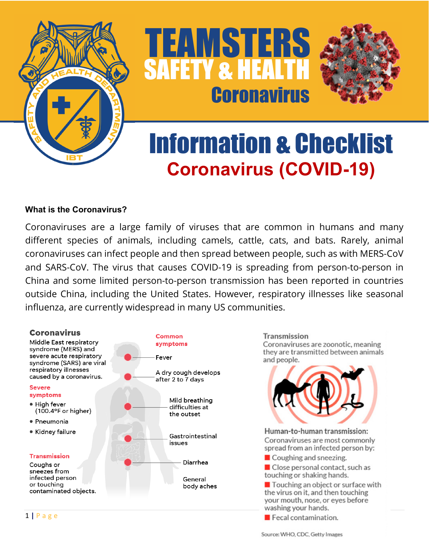

TEAMSTERS SAFETY & HEALTH **Coronavirus** 



# Information & Checklist **Coronavirus (COVID-19)**

#### **What is the Coronavirus?**

Coronaviruses are a large family of viruses that are common in humans and many different species of animals, including camels, cattle, cats, and bats. Rarely, animal coronaviruses can infect people and then spread between people, such as with MERS-CoV and SARS-CoV. The virus that causes COVID-19 is spreading from person-to-person in China and some limited person-to-person transmission has been reported in countries outside China, including the United States. However, respiratory illnesses like seasonal influenza, are currently widespread in many US communities.

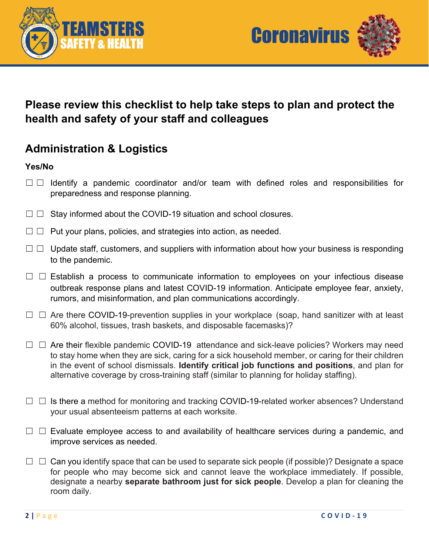



## **Please review this checklist to help take steps to plan and protect the health and safety of your staff and colleagues**

# **Administration & Logistics**

#### **Yes/No**

- □ □ Identify a pandemic coordinator and/or team with defined roles and responsibilities for preparedness and response planning.
- $\Box$   $\Box$  Stay informed about the COVID-19 situation and school closures.
- $\Box$   $\Box$  Put your plans, policies, and strategies into action, as needed.
- $\Box$   $\Box$  Update staff, customers, and suppliers with information about how your business is responding to the pandemic.
- $\Box$   $\Box$  Establish a process to communicate information to employees on your infectious disease outbreak response plans and latest COVID-19 information. Anticipate employee fear, anxiety, rumors, and misinformation, and plan communications accordingly.
- ☐ ☐ Are there COVID-19-prevention supplies in your workplace(soap, hand sanitizer with at least 60% alcohol, tissues, trash baskets, and disposable facemasks)?
- $\Box$   $\Box$  Are their flexible pandemic COVID-19 attendance and sick-leave policies? Workers may need to stay home when they are sick, caring for a sick household member, or caring for their children in the event of school dismissals. **Identify critical job functions and positions**, and plan for alternative coverage by cross-training staff (similar to planning for holiday staffing).
- $\Box$   $\Box$  Is there a method for monitoring and tracking COVID-19-related worker absences? Understand your usual absenteeism patterns at each worksite.
- $\Box$   $\Box$  Evaluate employee access to and availability of healthcare services during a pandemic, and improve services as needed.
- $\Box$   $\Box$  Can you identify space that can be used to separate sick people (if possible)? Designate a space for people who may become sick and cannot leave the workplace immediately. If possible, designate a nearby **separate bathroom just for sick people**. Develop a plan for cleaning the room daily.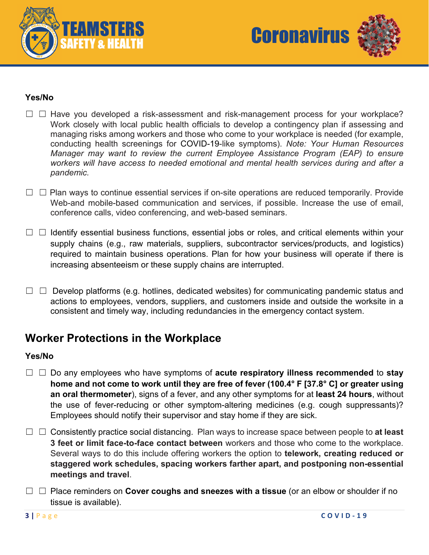



#### **Yes/No**

- $\Box$   $\Box$  Have you developed a risk-assessment and risk-management process for your workplace? Work closely with local public health officials to develop a contingency plan if assessing and managing risks among workers and those who come to your workplace is needed (for example, conducting health screenings for COVID-19-like symptoms). *Note: Your Human Resources Manager may want to review the current Employee Assistance Program (EAP) to ensure workers will have access to needed emotional and mental health services during and after a pandemic.*
- □ □ Plan ways to continue essential services if on-site operations are reduced temporarily. Provide Web-and mobile-based communication and services, if possible. Increase the use of email, conference calls, video conferencing, and web-based seminars.
- $\Box$   $\Box$  Identify essential business functions, essential jobs or roles, and critical elements within your supply chains (e.g., raw materials, suppliers, subcontractor services/products, and logistics) required to maintain business operations. Plan for how your business will operate if there is increasing absenteeism or these supply chains are interrupted.
- $\Box$   $\Box$  Develop platforms (e.g. hotlines, dedicated websites) for communicating pandemic status and actions to employees, vendors, suppliers, and customers inside and outside the worksite in a consistent and timely way, including redundancies in the emergency contact system.

## **Worker Protections in the Workplace**

#### **Yes/No**

- ☐ ☐ Do any employees who have symptoms of **acute respiratory illness recommended** to **stay home and not come to work until they are free of fever (100.4° F [37.8° C] or greater using an oral thermometer**), signs of a fever, and any other symptoms for at **least 24 hours**, without the use of fever-reducing or other symptom-altering medicines (e.g. cough suppressants)? Employees should notify their supervisor and stay home if they are sick.
- ☐ ☐ Consistently practice social distancing. Plan ways to increase space between people to **at least 3 feet or limit face-to-face contact between** workers and those who come to the workplace. Several ways to do this include offering workers the option to **telework, creating reduced or staggered work schedules, spacing workers farther apart, and postponing non-essential meetings and travel**.
- ☐ ☐ Place reminders on **Cover coughs and sneezes with a tissue** (or an elbow or shoulder if no tissue is available).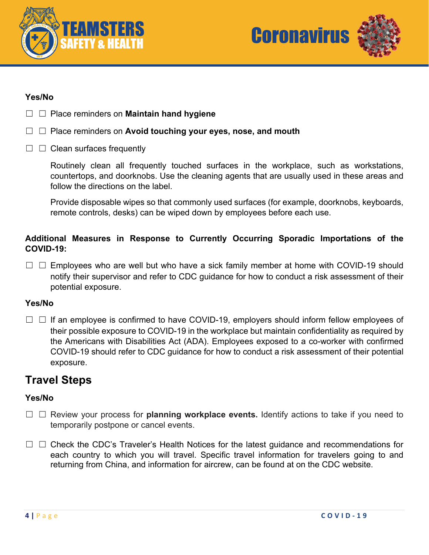



#### **Yes/No**

- ☐ ☐ Place reminders on **Maintain hand hygiene**
- ☐ ☐ Place reminders on **Avoid touching your eyes, nose, and mouth**
- $\Box$   $\Box$  Clean surfaces frequently

Routinely clean all frequently touched surfaces in the workplace, such as workstations, countertops, and doorknobs. Use the cleaning agents that are usually used in these areas and follow the directions on the label.

Provide disposable wipes so that commonly used surfaces (for example, doorknobs, keyboards, remote controls, desks) can be wiped down by employees before each use.

#### **Additional Measures in Response to Currently Occurring Sporadic Importations of the COVID-19:**

□ □ Employees who are well but who have a sick family member at home with COVID-19 should notify their supervisor and refer to CDC guidance for how to conduct a risk assessment of their potential exposure.

#### **Yes/No**

 $\Box$   $\Box$  If an employee is confirmed to have COVID-19, employers should inform fellow employees of their possible exposure to COVID-19 in the workplace but maintain confidentiality as required by the Americans with Disabilities Act (ADA). Employees exposed to a co-worker with confirmed COVID-19 should refer to CDC guidance for how to conduct a risk assessment of their potential exposure.

### **Travel Steps**

#### **Yes/No**

- ☐ ☐ Review your process for **planning workplace events.** Identify actions to take if you need to temporarily postpone or cancel events.
- □ □ Check the CDC's Traveler's Health Notices for the latest guidance and recommendations for each country to which you will travel. Specific travel information for travelers going to and returning from China, and information for aircrew, can be found at on the CDC website.